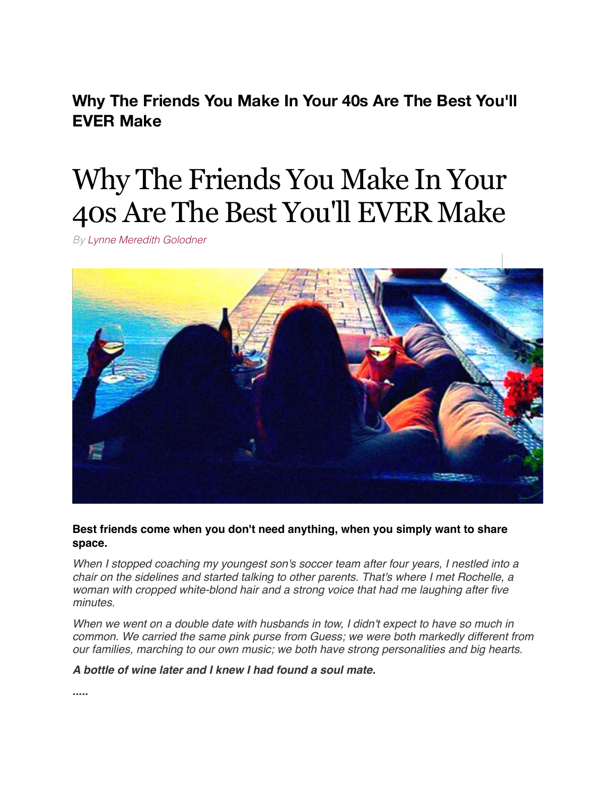**Why The Friends You Make In Your 40s Are The Best You'll EVER Make**

# Why The Friends You Make In Your 40s Are The Best You'll EVER Make

*By [Lynne Meredith Golodner](http://www.yourtango.com/users/lynne-meredith-golodner)*



**Best friends come when you don't need anything, when you simply want to share space.**

*When I stopped coaching my youngest son's soccer team after four years, I nestled into a chair on the sidelines and started talking to other parents. That's where I met Rochelle, a woman with cropped white-blond hair and a strong voice that had me laughing after five minutes.*

*When we went on a double date with husbands in tow, I didn't expect to have so much in common. We carried the same pink purse from Guess; we were both markedly different from our families, marching to our own music; we both have strong personalities and big hearts.*

*A bottle of wine later and I knew I had found a soul mate.*

*.....*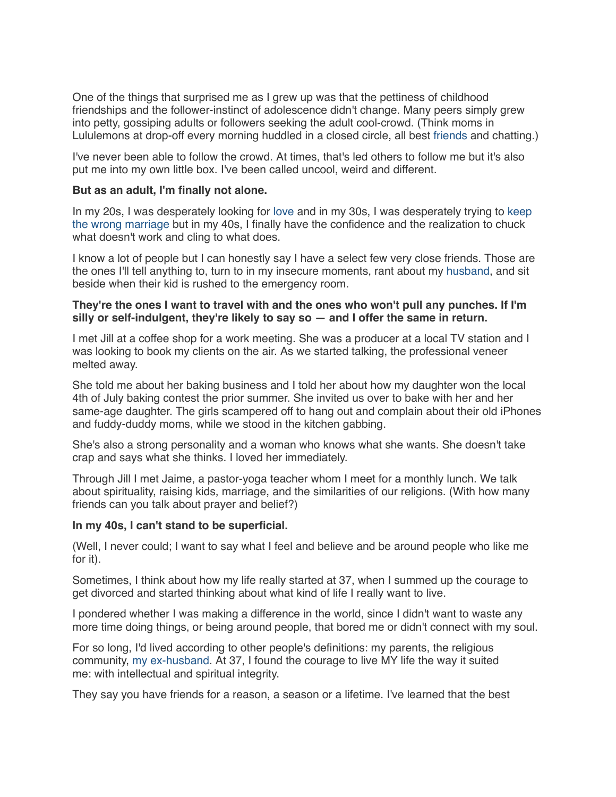One of the things that surprised me as I grew up was that the pettiness of childhood friendships and the follower-instinct of adolescence didn't change. Many peers simply grew into petty, gossiping adults or followers seeking the adult cool-crowd. (Think moms in Lululemons at drop-off every morning huddled in a closed circle, all best [friends](http://www.yourtango.com/2013197277/sex-6-valuable-lessons-having-friend-benefits) and chatting.)

I've never been able to follow the crowd. At times, that's led others to follow me but it's also put me into my own little box. I've been called uncool, weird and different.

# **But as an adult, I'm finally not alone.**

In my 20s, I was desperately looking for [love](http://www.yourtango.com/love) and in my 30s, I was desperately trying to keep [the wrong marriage but in my 40s, I finally have the confidence and the realization to chuck](http://www.yourtango.com/2015275253/6-reasons-marrying-mr-wrong-was-the-best-decision-i-ever-made) what doesn't work and cling to what does.

I know a lot of people but I can honestly say I have a select few very close friends. Those are the ones I'll tell anything to, turn to in my insecure moments, rant about my [husband,](http://www.yourtango.com/2013197121/marriage-i-put-my-husband-my-child) and sit beside when their kid is rushed to the emergency room.

# **They're the ones I want to travel with and the ones who won't pull any punches. If I'm silly or self-indulgent, they're likely to say so — and I offer the same in return.**

I met Jill at a coffee shop for a work meeting. She was a producer at a local TV station and I was looking to book my clients on the air. As we started talking, the professional veneer melted away.

She told me about her baking business and I told her about how my daughter won the local 4th of July baking contest the prior summer. She invited us over to bake with her and her same-age daughter. The girls scampered off to hang out and complain about their old iPhones and fuddy-duddy moms, while we stood in the kitchen gabbing.

She's also a strong personality and a woman who knows what she wants. She doesn't take crap and says what she thinks. I loved her immediately.

Through Jill I met Jaime, a pastor-yoga teacher whom I meet for a monthly lunch. We talk about spirituality, raising kids, marriage, and the similarities of our religions. (With how many friends can you talk about prayer and belief?)

### **In my 40s, I can't stand to be superficial.**

(Well, I never could; I want to say what I feel and believe and be around people who like me for it).

Sometimes, I think about how my life really started at 37, when I summed up the courage to get divorced and started thinking about what kind of life I really want to live.

I pondered whether I was making a difference in the world, since I didn't want to waste any more time doing things, or being around people, that bored me or didn't connect with my soul.

For so long, I'd lived according to other people's definitions: my parents, the religious community, [my ex-husband.](http://www.yourtango.com/200623/forbidden-desires) At 37, I found the courage to live MY life the way it suited me: with intellectual and spiritual integrity.

They say you have friends for a reason, a season or a lifetime. I've learned that the best